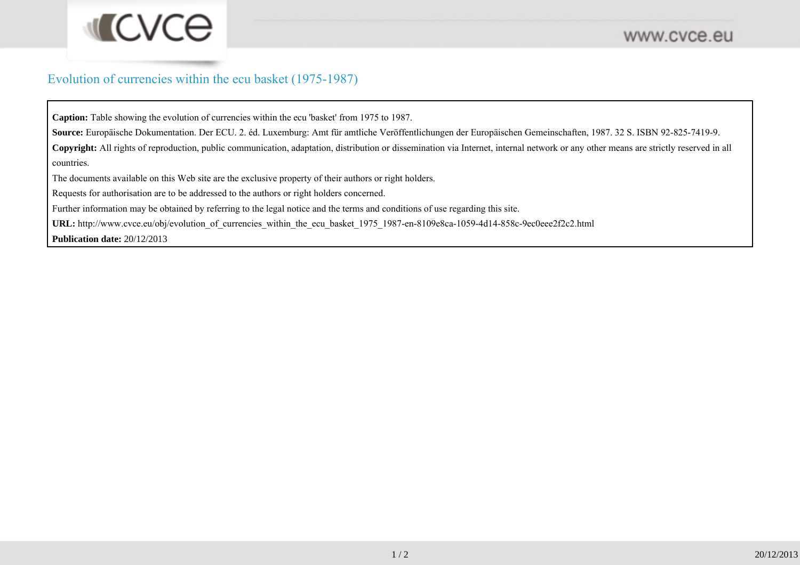## Evolution of currencies within the ecu basket (1975-1987)

**Caption:** Table showing the evolution of currencies within the ecu 'basket' from 1975 to 1987.

**Source:** Europäische Dokumentation. Der ECU. 2. éd. Luxemburg: Amt für amtliche Veröffentlichungen der Europäischen Gemeinschaften, 1987. 32 S. ISBN 92-825-7419-9.

**Copyright:** All rights of reproduction, public communication, adaptation, distribution or dissemination via Internet, internal network or any other means are strictly reserved in allcountries.

The documents available on this Web site are the exclusive property of their authors or right holders.

Requests for authorisation are to be addressed to the authors or right holders concerned.

Further information may be obtained by referring to the legal notice and the terms and conditions of use regarding this site.

URL: http://www.cvce.eu/obj/evolution\_of\_currencies\_within\_the\_ecu\_basket\_1975\_1987-en-8109e8ca-1059-4d14-858c-9ec0eee2f2c2.html

**Publication date:** 20/12/2013